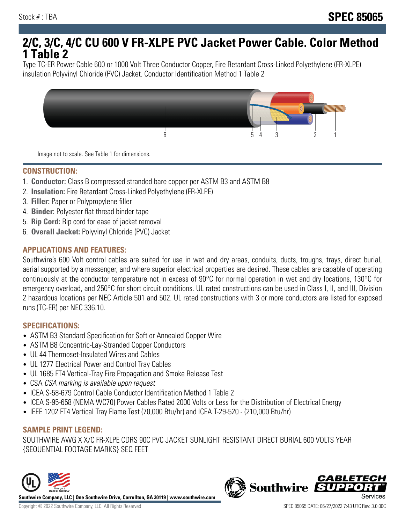# **2/C, 3/C, 4/C CU 600 V FR-XLPE PVC Jacket Power Cable. Color Method 1 Table 2**

Type TC-ER Power Cable 600 or 1000 Volt Three Conductor Copper, Fire Retardant Cross-Linked Polyethylene (FR-XLPE) insulation Polyvinyl Chloride (PVC) Jacket. Conductor Identification Method 1 Table 2



Image not to scale. See Table 1 for dimensions.

#### **CONSTRUCTION:**

- 1. **Conductor:** Class B compressed stranded bare copper per ASTM B3 and ASTM B8
- 2. **Insulation:** Fire Retardant Cross-Linked Polyethylene (FR-XLPE)
- 3. **Filler:** Paper or Polypropylene filler
- 4. **Binder:** Polyester flat thread binder tape
- 5. **Rip Cord:** Rip cord for ease of jacket removal
- 6. **Overall Jacket:** Polyvinyl Chloride (PVC) Jacket

### **APPLICATIONS AND FEATURES:**

Southwire's 600 Volt control cables are suited for use in wet and dry areas, conduits, ducts, troughs, trays, direct burial, aerial supported by a messenger, and where superior electrical properties are desired. These cables are capable of operating continuously at the conductor temperature not in excess of 90°C for normal operation in wet and dry locations, 130°C for emergency overload, and 250°C for short circuit conditions. UL rated constructions can be used in Class I, II, and III, Division 2 hazardous locations per NEC Article 501 and 502. UL rated constructions with 3 or more conductors are listed for exposed runs (TC-ER) per NEC 336.10.

#### **SPECIFICATIONS:**

- ASTM B3 Standard Specification for Soft or Annealed Copper Wire
- ASTM B8 Concentric-Lay-Stranded Copper Conductors
- UL 44 Thermoset-Insulated Wires and Cables
- UL 1277 Electrical Power and Control Tray Cables
- UL 1685 FT4 Vertical-Tray Fire Propagation and Smoke Release Test
- CSA CSA marking is available upon request
- ICEA S-58-679 Control Cable Conductor Identification Method 1 Table 2
- ICEA S-95-658 (NEMA WC70) Power Cables Rated 2000 Volts or Less for the Distribution of Electrical Energy
- IEEE 1202 FT4 Vertical Tray Flame Test (70,000 Btu/hr) and ICEA T-29-520 (210,000 Btu/hr)

## **SAMPLE PRINT LEGEND:**

SOUTHWIRE AWG X X/C FR-XLPE CDRS 90C PVC JACKET SUNLIGHT RESISTANT DIRECT BURIAL 600 VOLTS YEAR {SEQUENTIAL FOOTAGE MARKS} SEQ FEET